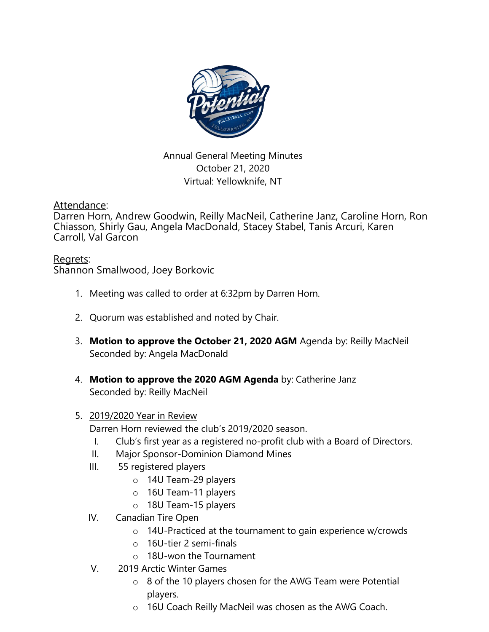

Annual General Meeting Minutes October 21, 2020 Virtual: Yellowknife, NT

Attendance:

Darren Horn, Andrew Goodwin, Reilly MacNeil, Catherine Janz, Caroline Horn, Ron Chiasson, Shirly Gau, Angela MacDonald, Stacey Stabel, Tanis Arcuri, Karen Carroll, Val Garcon

## Regrets:

Shannon Smallwood, Joey Borkovic

- 1. Meeting was called to order at 6:32pm by Darren Horn.
- 2. Quorum was established and noted by Chair.
- 3. **Motion to approve the October 21, 2020 AGM** Agenda by: Reilly MacNeil Seconded by: Angela MacDonald
- 4. **Motion to approve the 2020 AGM Agenda** by: Catherine Janz Seconded by: Reilly MacNeil

## 5. 2019/2020 Year in Review

Darren Horn reviewed the club's 2019/2020 season.

- I. Club's first year as a registered no-profit club with a Board of Directors.
- II. Major Sponsor-Dominion Diamond Mines
- III. 55 registered players
	- o 14U Team-29 players
	- o 16U Team-11 players
	- o 18U Team-15 players
- IV. Canadian Tire Open
	- o 14U-Practiced at the tournament to gain experience w/crowds
	- o 16U-tier 2 semi-finals
	- o 18U-won the Tournament
- V. 2019 Arctic Winter Games
	- o 8 of the 10 players chosen for the AWG Team were Potential players.
	- o 16U Coach Reilly MacNeil was chosen as the AWG Coach.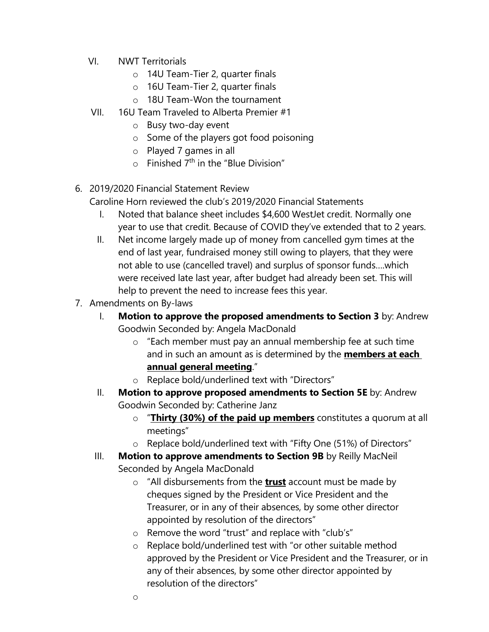- VI. NWT Territorials
	- o 14U Team-Tier 2, quarter finals
	- o 16U Team-Tier 2, quarter finals
	- o 18U Team-Won the tournament
- VII. 16U Team Traveled to Alberta Premier #1
	- o Busy two-day event
	- o Some of the players got food poisoning
	- o Played 7 games in all
	- $\circ$  Finished 7<sup>th</sup> in the "Blue Division"
- 6. 2019/2020 Financial Statement Review

Caroline Horn reviewed the club's 2019/2020 Financial Statements

- I. Noted that balance sheet includes \$4,600 WestJet credit. Normally one year to use that credit. Because of COVID they've extended that to 2 years.
- II. Net income largely made up of money from cancelled gym times at the end of last year, fundraised money still owing to players, that they were not able to use (cancelled travel) and surplus of sponsor funds….which were received late last year, after budget had already been set. This will help to prevent the need to increase fees this year.
- 7. Amendments on By-laws
	- I. **Motion to approve the proposed amendments to Section 3** by: Andrew Goodwin Seconded by: Angela MacDonald
		- o "Each member must pay an annual membership fee at such time and in such an amount as is determined by the **members at each annual general meeting**."
		- o Replace bold/underlined text with "Directors"
	- II. **Motion to approve proposed amendments to Section 5E** by: Andrew Goodwin Seconded by: Catherine Janz
		- o "**Thirty (30%) of the paid up members** constitutes a quorum at all meetings"
		- o Replace bold/underlined text with "Fifty One (51%) of Directors"
	- III. Motion to approve amendments to Section 9B by Reilly MacNeil Seconded by Angela MacDonald
		- o "All disbursements from the **trust** account must be made by cheques signed by the President or Vice President and the Treasurer, or in any of their absences, by some other director appointed by resolution of the directors"
		- o Remove the word "trust" and replace with "club's"
		- o Replace bold/underlined test with "or other suitable method approved by the President or Vice President and the Treasurer, or in any of their absences, by some other director appointed by resolution of the directors"